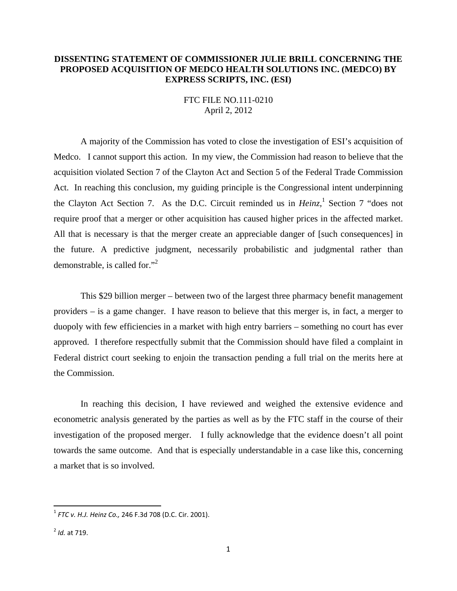## **DISSENTING STATEMENT OF COMMISSIONER JULIE BRILL CONCERNING THE PROPOSED ACQUISITION OF MEDCO HEALTH SOLUTIONS INC. (MEDCO) BY EXPRESS SCRIPTS, INC. (ESI)**

FTC FILE NO.111-0210 April 2, 2012

A majority of the Commission has voted to close the investigation of ESI's acquisition of Medco. I cannot support this action. In my view, the Commission had reason to believe that the acquisition violated Section 7 of the Clayton Act and Section 5 of the Federal Trade Commission Act. In reaching this conclusion, my guiding principle is the Congressional intent underpinning the Clayton Act Section 7. As the D.C. Circuit reminded us in *Heinz*,<sup>1</sup> Section 7 "does not require proof that a merger or other acquisition has caused higher prices in the affected market. All that is necessary is that the merger create an appreciable danger of [such consequences] in the future. A predictive judgment, necessarily probabilistic and judgmental rather than demonstrable, is called for."2

This \$29 billion merger – between two of the largest three pharmacy benefit management providers – is a game changer. I have reason to believe that this merger is, in fact, a merger to duopoly with few efficiencies in a market with high entry barriers – something no court has ever approved. I therefore respectfully submit that the Commission should have filed a complaint in Federal district court seeking to enjoin the transaction pending a full trial on the merits here at the Commission.

In reaching this decision, I have reviewed and weighed the extensive evidence and econometric analysis generated by the parties as well as by the FTC staff in the course of their investigation of the proposed merger. I fully acknowledge that the evidence doesn't all point towards the same outcome. And that is especially understandable in a case like this, concerning a market that is so involved.

<sup>1</sup> *FTC v. H.J. Heinz Co.,* 246 F.3d 708 (D.C. Cir. 2001).

<sup>2</sup> *Id.* at 719.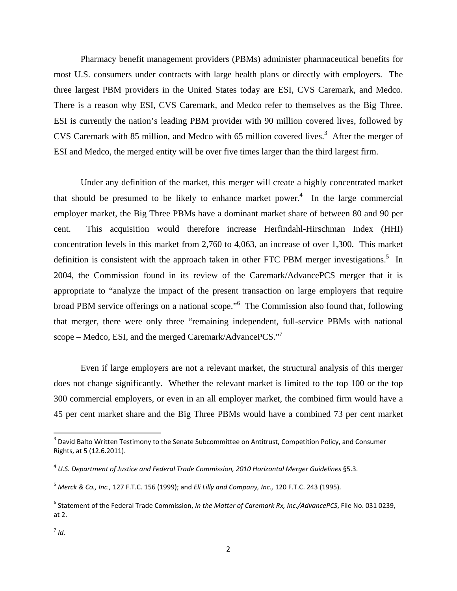Pharmacy benefit management providers (PBMs) administer pharmaceutical benefits for most U.S. consumers under contracts with large health plans or directly with employers. The three largest PBM providers in the United States today are ESI, CVS Caremark, and Medco. There is a reason why ESI, CVS Caremark, and Medco refer to themselves as the Big Three. ESI is currently the nation's leading PBM provider with 90 million covered lives, followed by CVS Caremark with 85 million, and Medco with 65 million covered lives.<sup>3</sup> After the merger of ESI and Medco, the merged entity will be over five times larger than the third largest firm.

Under any definition of the market, this merger will create a highly concentrated market that should be presumed to be likely to enhance market power.<sup>4</sup> In the large commercial employer market, the Big Three PBMs have a dominant market share of between 80 and 90 per cent. This acquisition would therefore increase Herfindahl-Hirschman Index (HHI) concentration levels in this market from 2,760 to 4,063, an increase of over 1,300. This market definition is consistent with the approach taken in other FTC PBM merger investigations.<sup>5</sup> In 2004, the Commission found in its review of the Caremark/AdvancePCS merger that it is appropriate to "analyze the impact of the present transaction on large employers that require broad PBM service offerings on a national scope."<sup>6</sup> The Commission also found that, following that merger, there were only three "remaining independent, full-service PBMs with national scope – Medco, ESI, and the merged Caremark/AdvancePCS."<sup>7</sup>

Even if large employers are not a relevant market, the structural analysis of this merger does not change significantly. Whether the relevant market is limited to the top 100 or the top 300 commercial employers, or even in an all employer market, the combined firm would have a 45 per cent market share and the Big Three PBMs would have a combined 73 per cent market

<sup>&</sup>lt;sup>3</sup> David Balto Written Testimony to the Senate Subcommittee on Antitrust, Competition Policy, and Consumer Rights, at 5 (12.6.2011).

<sup>4</sup> *U.S. Department of Justice and Federal Trade Commission, 2010 Horizontal Merger Guidelines* §5.3.

<sup>5</sup> *Merck & Co., Inc.,* 127 F.T.C. 156 (1999); and *Eli Lilly and Company, Inc.,* 120 F.T.C. 243 (1995).

<sup>6</sup> Statement of the Federal Trade Commission, *In the Matter of Caremark Rx, Inc./AdvancePCS*, File No. 031 0239, at 2.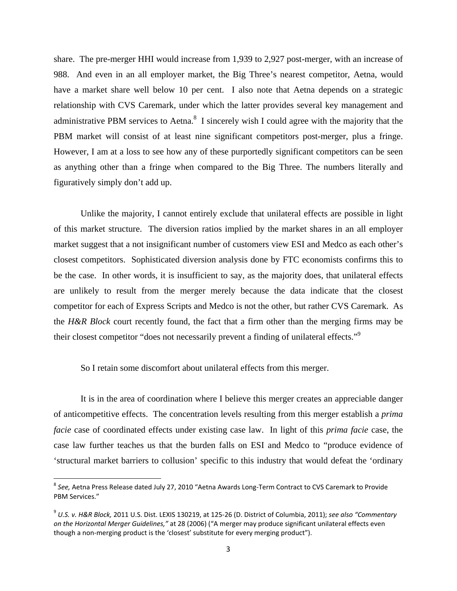share. The pre-merger HHI would increase from 1,939 to 2,927 post-merger, with an increase of 988. And even in an all employer market, the Big Three's nearest competitor, Aetna, would have a market share well below 10 per cent. I also note that Aetna depends on a strategic relationship with CVS Caremark, under which the latter provides several key management and administrative PBM services to Aetna.<sup>8</sup> I sincerely wish I could agree with the majority that the PBM market will consist of at least nine significant competitors post-merger, plus a fringe. However, I am at a loss to see how any of these purportedly significant competitors can be seen as anything other than a fringe when compared to the Big Three. The numbers literally and figuratively simply don't add up.

Unlike the majority, I cannot entirely exclude that unilateral effects are possible in light of this market structure. The diversion ratios implied by the market shares in an all employer market suggest that a not insignificant number of customers view ESI and Medco as each other's closest competitors. Sophisticated diversion analysis done by FTC economists confirms this to be the case. In other words, it is insufficient to say, as the majority does, that unilateral effects are unlikely to result from the merger merely because the data indicate that the closest competitor for each of Express Scripts and Medco is not the other, but rather CVS Caremark. As the *H&R Block* court recently found, the fact that a firm other than the merging firms may be their closest competitor "does not necessarily prevent a finding of unilateral effects."<sup>9</sup>

So I retain some discomfort about unilateral effects from this merger.

It is in the area of coordination where I believe this merger creates an appreciable danger of anticompetitive effects. The concentration levels resulting from this merger establish a *prima facie* case of coordinated effects under existing case law. In light of this *prima facie* case, the case law further teaches us that the burden falls on ESI and Medco to "produce evidence of 'structural market barriers to collusion' specific to this industry that would defeat the 'ordinary

<sup>8</sup> *See,* Aetna Press Release dated July 27, 2010 "Aetna Awards Long‐Term Contract to CVS Caremark to Provide PBM Services."

<sup>9</sup> *U.S. v. H&R Block,* 2011 U.S. Dist. LEXIS 130219, at 125‐26 (D. District of Columbia, 2011); *see also "Commentary on the Horizontal Merger Guidelines,"* at 28 (2006) ("A merger may produce significant unilateral effects even though a non‐merging product is the 'closest' substitute for every merging product").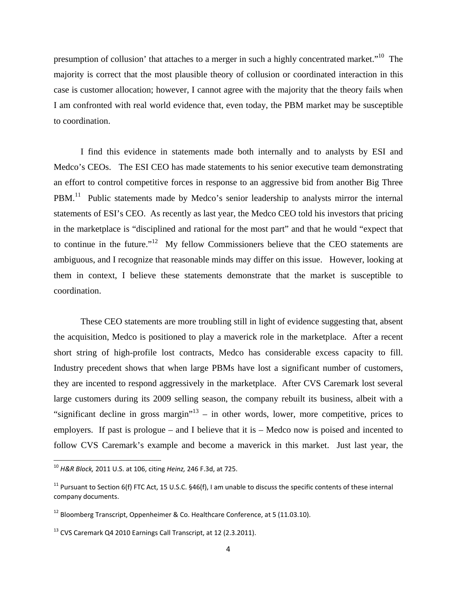presumption of collusion' that attaches to a merger in such a highly concentrated market."10 The majority is correct that the most plausible theory of collusion or coordinated interaction in this case is customer allocation; however, I cannot agree with the majority that the theory fails when I am confronted with real world evidence that, even today, the PBM market may be susceptible to coordination.

I find this evidence in statements made both internally and to analysts by ESI and Medco's CEOs. The ESI CEO has made statements to his senior executive team demonstrating an effort to control competitive forces in response to an aggressive bid from another Big Three PBM.<sup>11</sup> Public statements made by Medco's senior leadership to analysts mirror the internal statements of ESI's CEO. As recently as last year, the Medco CEO told his investors that pricing in the marketplace is "disciplined and rational for the most part" and that he would "expect that to continue in the future."12 My fellow Commissioners believe that the CEO statements are ambiguous, and I recognize that reasonable minds may differ on this issue. However, looking at them in context, I believe these statements demonstrate that the market is susceptible to coordination.

These CEO statements are more troubling still in light of evidence suggesting that, absent the acquisition, Medco is positioned to play a maverick role in the marketplace. After a recent short string of high-profile lost contracts, Medco has considerable excess capacity to fill. Industry precedent shows that when large PBMs have lost a significant number of customers, they are incented to respond aggressively in the marketplace. After CVS Caremark lost several large customers during its 2009 selling season, the company rebuilt its business, albeit with a "significant decline in gross margin"<sup>13</sup> – in other words, lower, more competitive, prices to employers. If past is prologue – and I believe that it is – Medco now is poised and incented to follow CVS Caremark's example and become a maverick in this market. Just last year, the

<sup>10</sup> *H&R Block,* 2011 U.S. at 106, citing *Heinz,* 246 F.3d, at 725.

<sup>&</sup>lt;sup>11</sup> Pursuant to Section 6(f) FTC Act, 15 U.S.C. §46(f), I am unable to discuss the specific contents of these internal company documents.

 $12$  Bloomberg Transcript, Oppenheimer & Co. Healthcare Conference, at 5 (11.03.10).

<sup>&</sup>lt;sup>13</sup> CVS Caremark Q4 2010 Earnings Call Transcript, at 12 (2.3.2011).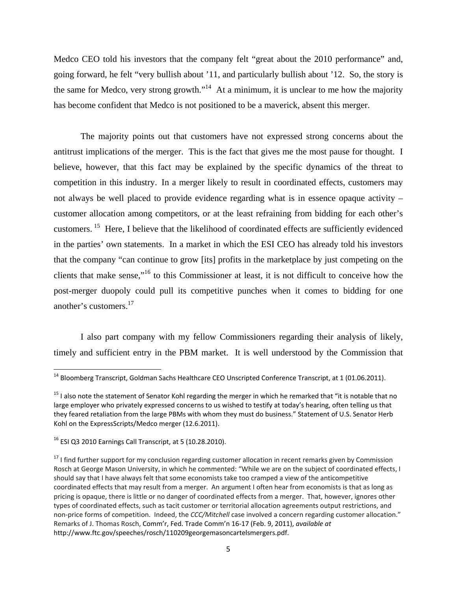Medco CEO told his investors that the company felt "great about the 2010 performance" and, going forward, he felt "very bullish about '11, and particularly bullish about '12. So, the story is the same for Medco, very strong growth."<sup>14</sup> At a minimum, it is unclear to me how the majority has become confident that Medco is not positioned to be a maverick, absent this merger.

The majority points out that customers have not expressed strong concerns about the antitrust implications of the merger. This is the fact that gives me the most pause for thought. I believe, however, that this fact may be explained by the specific dynamics of the threat to competition in this industry. In a merger likely to result in coordinated effects, customers may not always be well placed to provide evidence regarding what is in essence opaque activity – customer allocation among competitors, or at the least refraining from bidding for each other's customers. 15 Here, I believe that the likelihood of coordinated effects are sufficiently evidenced in the parties' own statements. In a market in which the ESI CEO has already told his investors that the company "can continue to grow [its] profits in the marketplace by just competing on the clients that make sense,"16 to this Commissioner at least, it is not difficult to conceive how the post-merger duopoly could pull its competitive punches when it comes to bidding for one another's customers.17

I also part company with my fellow Commissioners regarding their analysis of likely, timely and sufficient entry in the PBM market. It is well understood by the Commission that

 $^{14}$  Bloomberg Transcript, Goldman Sachs Healthcare CEO Unscripted Conference Transcript, at 1 (01.06.2011).

<sup>&</sup>lt;sup>15</sup> I also note the statement of Senator Kohl regarding the merger in which he remarked that "it is notable that no large employer who privately expressed concerns to us wished to testify at today's hearing, often telling us that they feared retaliation from the large PBMs with whom they must do business." Statement of U.S. Senator Herb Kohl on the ExpressScripts/Medco merger (12.6.2011).

<sup>16</sup> ESI Q3 2010 Earnings Call Transcript, at 5 (10.28.2010).

<sup>&</sup>lt;sup>17</sup> I find further support for my conclusion regarding customer allocation in recent remarks given by Commission Rosch at George Mason University, in which he commented: "While we are on the subject of coordinated effects, I should say that I have always felt that some economists take too cramped a view of the anticompetitive coordinated effects that may result from a merger. An argument I often hear from economists is that as long as pricing is opaque, there is little or no danger of coordinated effects from a merger. That, however, ignores other types of coordinated effects, such as tacit customer or territorial allocation agreements output restrictions, and non‐price forms of competition. Indeed, the *CCC/Mitchell* case involved a concern regarding customer allocation." Remarks of J. Thomas Rosch, Comm'r, Fed. Trade Comm'n 16‐17 (Feb. 9, 2011), *available at* http://www.ftc.gov/speeches/rosch/110209georgemasoncartelsmergers.pdf.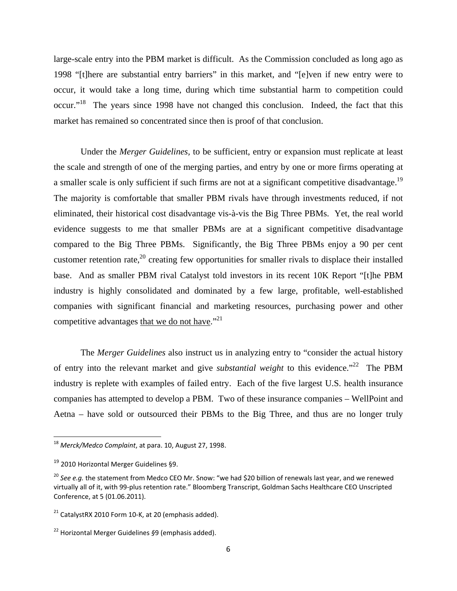large-scale entry into the PBM market is difficult. As the Commission concluded as long ago as 1998 "[t]here are substantial entry barriers" in this market, and "[e]ven if new entry were to occur, it would take a long time, during which time substantial harm to competition could occur."<sup>18</sup> The years since 1998 have not changed this conclusion. Indeed, the fact that this market has remained so concentrated since then is proof of that conclusion.

Under the *Merger Guidelines,* to be sufficient, entry or expansion must replicate at least the scale and strength of one of the merging parties, and entry by one or more firms operating at a smaller scale is only sufficient if such firms are not at a significant competitive disadvantage.<sup>19</sup> The majority is comfortable that smaller PBM rivals have through investments reduced, if not eliminated, their historical cost disadvantage vis-à-vis the Big Three PBMs. Yet, the real world evidence suggests to me that smaller PBMs are at a significant competitive disadvantage compared to the Big Three PBMs. Significantly, the Big Three PBMs enjoy a 90 per cent customer retention rate,<sup>20</sup> creating few opportunities for smaller rivals to displace their installed base. And as smaller PBM rival Catalyst told investors in its recent 10K Report "[t]he PBM industry is highly consolidated and dominated by a few large, profitable, well-established companies with significant financial and marketing resources, purchasing power and other competitive advantages that we do not have."21

The *Merger Guidelines* also instruct us in analyzing entry to "consider the actual history of entry into the relevant market and give *substantial weight* to this evidence."22 The PBM industry is replete with examples of failed entry. Each of the five largest U.S. health insurance companies has attempted to develop a PBM. Two of these insurance companies – WellPoint and Aetna – have sold or outsourced their PBMs to the Big Three, and thus are no longer truly

<sup>18</sup> *Merck/Medco Complaint*, at para. 10, August 27, 1998.

<sup>&</sup>lt;sup>19</sup> 2010 Horizontal Merger Guidelines §9.

<sup>20</sup> *See e.g.* the statement from Medco CEO Mr. Snow: "we had \$20 billion of renewals last year, and we renewed virtually all of it, with 99‐plus retention rate." Bloomberg Transcript, Goldman Sachs Healthcare CEO Unscripted Conference, at 5 (01.06.2011).

 $21$  CatalystRX 2010 Form 10-K, at 20 (emphasis added).

<sup>22</sup> Horizontal Merger Guidelines *§*9 (emphasis added).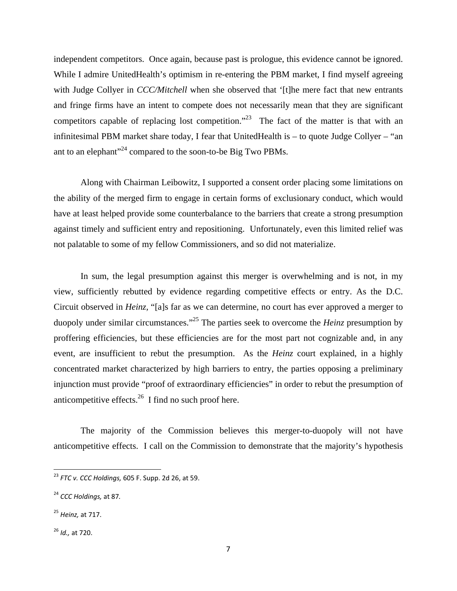independent competitors. Once again, because past is prologue, this evidence cannot be ignored. While I admire UnitedHealth's optimism in re-entering the PBM market, I find myself agreeing with Judge Collyer in *CCC/Mitchell* when she observed that '[t]he mere fact that new entrants and fringe firms have an intent to compete does not necessarily mean that they are significant competitors capable of replacing lost competition."<sup>23</sup> The fact of the matter is that with an infinitesimal PBM market share today, I fear that UnitedHealth is – to quote Judge Collyer – "an ant to an elephant"<sup>24</sup> compared to the soon-to-be Big Two PBMs.

Along with Chairman Leibowitz, I supported a consent order placing some limitations on the ability of the merged firm to engage in certain forms of exclusionary conduct, which would have at least helped provide some counterbalance to the barriers that create a strong presumption against timely and sufficient entry and repositioning. Unfortunately, even this limited relief was not palatable to some of my fellow Commissioners, and so did not materialize.

In sum, the legal presumption against this merger is overwhelming and is not, in my view, sufficiently rebutted by evidence regarding competitive effects or entry. As the D.C. Circuit observed in *Heinz,* "[a]s far as we can determine, no court has ever approved a merger to duopoly under similar circumstances."25 The parties seek to overcome the *Heinz* presumption by proffering efficiencies, but these efficiencies are for the most part not cognizable and, in any event, are insufficient to rebut the presumption. As the *Heinz* court explained, in a highly concentrated market characterized by high barriers to entry, the parties opposing a preliminary injunction must provide "proof of extraordinary efficiencies" in order to rebut the presumption of anticompetitive effects. $26$  I find no such proof here.

The majority of the Commission believes this merger-to-duopoly will not have anticompetitive effects. I call on the Commission to demonstrate that the majority's hypothesis

<sup>26</sup> *Id.,* at 720.

<sup>23</sup> *FTC v. CCC Holdings,* 605 F. Supp. 2d 26, at 59.

<sup>24</sup> *CCC Holdings,* at 87*.*

<sup>25</sup> *Heinz,* at 717.